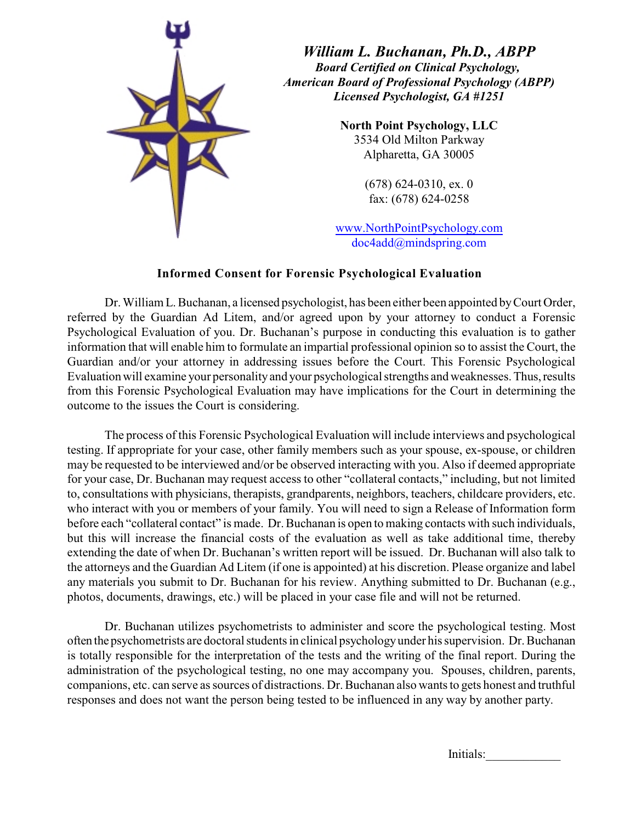

*William L. Buchanan, Ph.D., ABPP Board Certified on Clinical Psychology, American Board of Professional Psychology (ABPP) Licensed Psychologist, GA #1251*

> **North Point Psychology, LLC** 3534 Old Milton Parkway Alpharetta, GA 30005

> > (678) 624-0310, ex. 0 fax: (678) 624-0258

www.NorthPointPsychology.com doc4add@mindspring.com

## **Informed Consent for Forensic Psychological Evaluation**

Dr. William L. Buchanan, a licensed psychologist, has been either been appointed by Court Order, referred by the Guardian Ad Litem, and/or agreed upon by your attorney to conduct a Forensic Psychological Evaluation of you. Dr. Buchanan's purpose in conducting this evaluation is to gather information that will enable him to formulate an impartial professional opinion so to assist the Court, the Guardian and/or your attorney in addressing issues before the Court. This Forensic Psychological Evaluation will examine your personality and your psychological strengths and weaknesses. Thus, results from this Forensic Psychological Evaluation may have implications for the Court in determining the outcome to the issues the Court is considering.

The process of this Forensic Psychological Evaluation will include interviews and psychological testing. If appropriate for your case, other family members such as your spouse, ex-spouse, or children may be requested to be interviewed and/or be observed interacting with you. Also if deemed appropriate for your case, Dr. Buchanan may request access to other "collateral contacts," including, but not limited to, consultations with physicians, therapists, grandparents, neighbors, teachers, childcare providers, etc. who interact with you or members of your family. You will need to sign a Release of Information form before each "collateral contact" is made. Dr. Buchanan is open to making contacts with such individuals, but this will increase the financial costs of the evaluation as well as take additional time, thereby extending the date of when Dr. Buchanan's written report will be issued. Dr. Buchanan will also talk to the attorneys and the Guardian Ad Litem (if one is appointed) at his discretion. Please organize and label any materials you submit to Dr. Buchanan for his review. Anything submitted to Dr. Buchanan (e.g., photos, documents, drawings, etc.) will be placed in your case file and will not be returned.

Dr. Buchanan utilizes psychometrists to administer and score the psychological testing. Most often the psychometrists are doctoral students in clinical psychology under his supervision. Dr. Buchanan is totally responsible for the interpretation of the tests and the writing of the final report. During the administration of the psychological testing, no one may accompany you. Spouses, children, parents, companions, etc. can serve as sources of distractions. Dr. Buchanan also wants to gets honest and truthful responses and does not want the person being tested to be influenced in any way by another party.

Initials: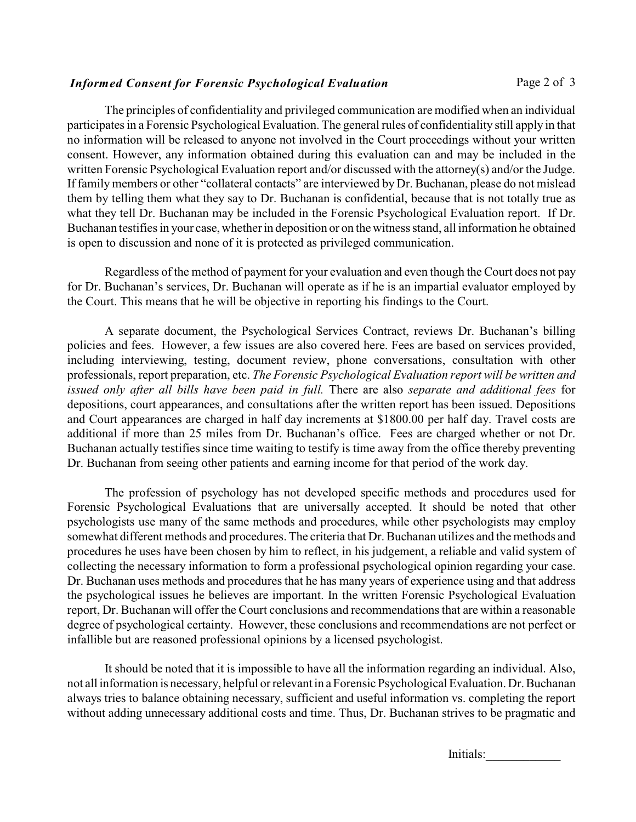## *Informed Consent for Forensic Psychological Evaluation* Page 2 of 3

The principles of confidentiality and privileged communication are modified when an individual participates in a Forensic Psychological Evaluation. The general rules of confidentiality still apply in that no information will be released to anyone not involved in the Court proceedings without your written consent. However, any information obtained during this evaluation can and may be included in the written Forensic Psychological Evaluation report and/or discussed with the attorney(s) and/or the Judge. If family members or other "collateral contacts" are interviewed by Dr. Buchanan, please do not mislead them by telling them what they say to Dr. Buchanan is confidential, because that is not totally true as what they tell Dr. Buchanan may be included in the Forensic Psychological Evaluation report. If Dr. Buchanan testifies in your case, whether in deposition or on the witness stand, all information he obtained is open to discussion and none of it is protected as privileged communication.

Regardless of the method of payment for your evaluation and even though the Court does not pay for Dr. Buchanan's services, Dr. Buchanan will operate as if he is an impartial evaluator employed by the Court. This means that he will be objective in reporting his findings to the Court.

A separate document, the Psychological Services Contract, reviews Dr. Buchanan's billing policies and fees. However, a few issues are also covered here. Fees are based on services provided, including interviewing, testing, document review, phone conversations, consultation with other professionals, report preparation, etc. *The Forensic Psychological Evaluation report will be written and issued only after all bills have been paid in full.* There are also *separate and additional fees* for depositions, court appearances, and consultations after the written report has been issued. Depositions and Court appearances are charged in half day increments at \$1800.00 per half day. Travel costs are additional if more than 25 miles from Dr. Buchanan's office. Fees are charged whether or not Dr. Buchanan actually testifies since time waiting to testify is time away from the office thereby preventing Dr. Buchanan from seeing other patients and earning income for that period of the work day.

The profession of psychology has not developed specific methods and procedures used for Forensic Psychological Evaluations that are universally accepted. It should be noted that other psychologists use many of the same methods and procedures, while other psychologists may employ somewhat different methods and procedures. The criteria that Dr. Buchanan utilizes and the methods and procedures he uses have been chosen by him to reflect, in his judgement, a reliable and valid system of collecting the necessary information to form a professional psychological opinion regarding your case. Dr. Buchanan uses methods and procedures that he has many years of experience using and that address the psychological issues he believes are important. In the written Forensic Psychological Evaluation report, Dr. Buchanan will offer the Court conclusions and recommendations that are within a reasonable degree of psychological certainty. However, these conclusions and recommendations are not perfect or infallible but are reasoned professional opinions by a licensed psychologist.

It should be noted that it is impossible to have all the information regarding an individual. Also, not all information is necessary, helpful or relevant in a Forensic Psychological Evaluation. Dr. Buchanan always tries to balance obtaining necessary, sufficient and useful information vs. completing the report without adding unnecessary additional costs and time. Thus, Dr. Buchanan strives to be pragmatic and

Initials: